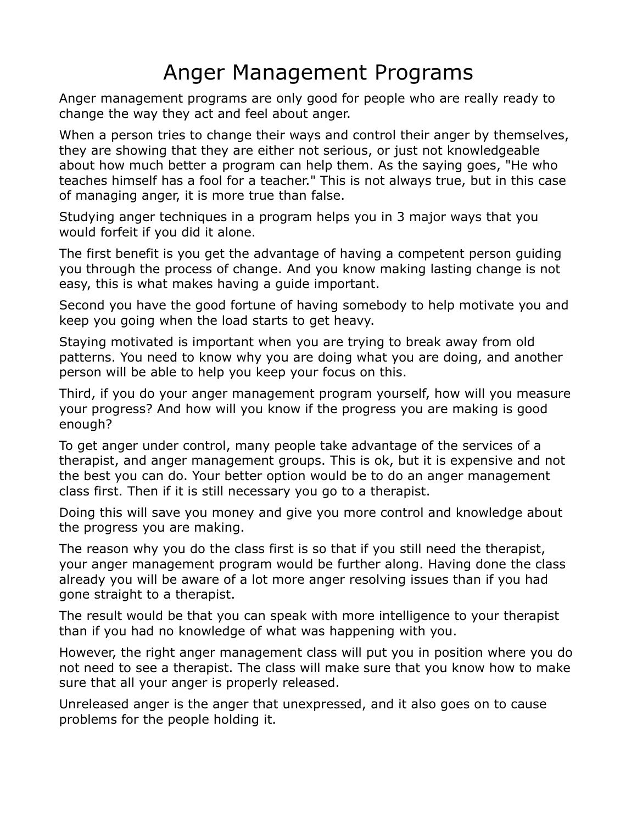## Anger Management Programs

Anger management programs are only good for people who are really ready to change the way they act and feel about anger.

When a person tries to change their ways and control their anger by themselves, they are showing that they are either not serious, or just not knowledgeable about how much better a program can help them. As the saying goes, "He who teaches himself has a fool for a teacher." This is not always true, but in this case of managing anger, it is more true than false.

Studying anger techniques in a program helps you in 3 major ways that you would forfeit if you did it alone.

The first benefit is you get the advantage of having a competent person guiding you through the process of change. And you know making lasting change is not easy, this is what makes having a guide important.

Second you have the good fortune of having somebody to help motivate you and keep you going when the load starts to get heavy.

Staying motivated is important when you are trying to break away from old patterns. You need to know why you are doing what you are doing, and another person will be able to help you keep your focus on this.

Third, if you do your anger management program yourself, how will you measure your progress? And how will you know if the progress you are making is good enough?

To get anger under control, many people take advantage of the services of a therapist, and anger management groups. This is ok, but it is expensive and not the best you can do. Your better option would be to do an anger management class first. Then if it is still necessary you go to a therapist.

Doing this will save you money and give you more control and knowledge about the progress you are making.

The reason why you do the class first is so that if you still need the therapist, your anger management program would be further along. Having done the class already you will be aware of a lot more anger resolving issues than if you had gone straight to a therapist.

The result would be that you can speak with more intelligence to your therapist than if you had no knowledge of what was happening with you.

However, the right anger management class will put you in position where you do not need to see a therapist. The class will make sure that you know how to make sure that all your anger is properly released.

Unreleased anger is the anger that unexpressed, and it also goes on to cause problems for the people holding it.